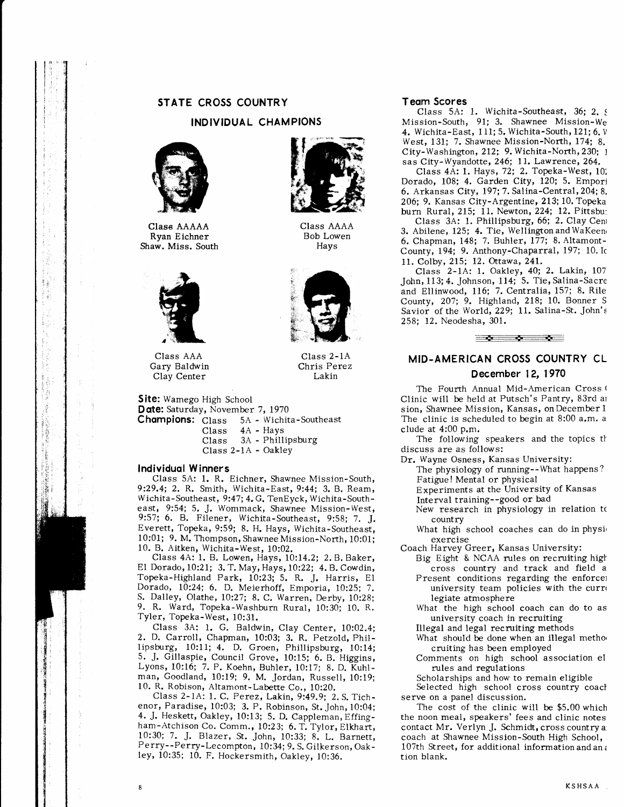# STATE CROSS COUNTRY

### INDIVIDUAL CHAMPIONS

Class AAAA Bob Lowen Hays

Class 2-IA Chris Perez Lakin



Class AAAAA Ryan Eichner Shaw. Miss. South



Class AAA Gary Baldwin Clay Center

Site: Wamego High School Date: Saturday, November 7, 1970

Champions: Class  $\rm Class$ Class Class 2-lA - Oakley 5A - Wichita-Southeast 4A - Hays 3A - Phillipsburg

#### lndividuol Winners

Class 5A: I, R. Eichner, Shawnee Mission-South, 9:29.4; 2. R. Smith, Wichita-East, 9:44; 3. B. Ream, Wichita-Southeast, 9:47; 4.G. TenEyck, Wichita-Southeast, 9:54; 5. J. Wommack, Shawnee Mission-West, 9:57; 6. B. Filener, Wichita-southeast, 9:58; 7, J. Everett, Topeka, 9:59; 8. H. Hays, Wichita-Southeast, l0:01; 9. M. Thompson, Shawnee Mission-North, 10:01; 10. B. Aitken, Wichita-West, l0:02.

Class 4A: l. B. Lowen, Hays, l0:I4.2; 2. B. Baker, El Dorado, 10:21; 3. T. May, Hays, L0:22; 4. B. Cowdin, Topeka-Highland Park, 10:23; 5. R. J. Harris, El Dorado, 10:24; 6. D. Meierhoff, Emporia, 10:25; 7. S. Dalley, Olathe, lO:27; 8. C. Warren, Derby, 10:28; 9. R. Ward, Topeka-Washburn Rural, 10:30; 10. R. Tyler, Topeka-West, 10:31.

Class 3A: 1. G. Baldwin, Clay Center, 10:02.4; 2. D. Carroll, Chapman, 10:03; 3. R. Petzold, Phillipsburg, l0:11; 4. D. Groen, Phillipsburg, l0:14; 5. J. Gillaspie, Council Grove, 10:15; 6. B. Higgins, Lyons, 10:16; 7. P. Koehn, Buhler, l0:17; 8. D. Kuhlman, Goodland, 10:19; 9. M. Jordan, Russell, 10:19; 10. R. Robison, Altamont-Labette Co., 10:20.

Class 2-1A: 1. C. Perez, Lakin, 9:49.9; 2. S. Tichenor, Paradise, l0:03; 3. P. Robinson, St. John, l0:04; 4. J. Heskett, Oakley, 10:13; S. D. Cappleman, Effingham-Atchison Co. Comm., 10:23; 6. T. Tylor, Elkhart, 10:30; 7. J. Blazer, St. John, 10:33; 8. L. Barnett, Perry--Perry-Lecompton, l0:34; 9. S. Gilkerson, Oakley, l0:35; 10. F. Hockersmith, Oakley, l0:36.

#### Teom Scores

Class 5A: 1. Wichita-Southeast, 36; 2. g Mission-South, 91; 3. Shawnee Mission-We 4. Wichita-East, 111; 5. Wichita-South, 121; 6.  $\nabla$ West, 131; 7. Shawnee Mission-North, 174; 8. City-Washington, 212; 9. Wichita-North, 230; l sas City-Wyandotte, 246; 11. Lawrence, 264.

Class 4A: l. Hays, 72; 2. Topeka-West, 101 Dorado, 108; 4. Garden City, 120; 5. Empori 6. Arkansas City, 197; 7. Salina-Central, 204; 8, 206; 9. Kansas City-Argentine, 213; l0.Topeka burn Rural, 215; 11. Newton, 224; 12. Pittsbu:

Class 3A: 1. Phillipsburg, 66; 2. Clay Cent 3. Abilene, 125; 4. Tie, Wellington and WaKeen 6. Chapman, 148; 7. Buhler, 177; 8. Altamont-County, 194; 9. Anthony-Chaparral, 197; 10. Ic 11. Colby,2I5; 12. Ottawa,24l.

Class 2-IA: l, Oakley, 40; 2. Lakin, I07 John,113;4. Johnson, 114; 5. Tie, Salina-Sacre and Ellinwood, 116; 7. Centralia, 157; 8. Rile County, 207; 9. Highland, 218; 10. Bonner S Savior of the World,229; 11. Salina-St. John's 258; 12. Neodesha, 301.



# MID.AMERICAN CROSS COUNTRY CL December 12, 1970

The Fourth Annual Mid-American Cross ( Clinic will be held at Putsch's Pantry, 83rd ar sion, Shawnee Mission, Kansas, on December 1 The clinic is scheduled to begin at 8:00 a.m. a clude at 4:00 p.m,

The following speakers and the topics the discuss are as follows:

- Dr. Wayne Osness, Kansas University:
	- The physiology of running--What happens?
	- Fatigue! Mental or physical
	- Experiments at the University of Kansas
	- Interval training--good or bad New research in physiology in relation tc
	- country

What high school coaches can do in physiexercise

- Coach Harvey Greer, Kansas University:
	- Big Eight & NCAA rules on recruiting high cross country and track and field a
	- Present conditions regarding the enforcet university team policies with the curro legiate atmosphere
	- What the high school coach can do to as university coach in recruiting
	- Illegal and legal recmiting methods
	- What should be done when an illegal method cruiting has been employed
	- Comments on high school association el mles and regulations

Scholarships and how to remain eligible

Selected high school cross country coach serve on a panel discussion.

The cost of the clinic will be \$5.00 which the noon meai, speakers' fees and clinic notes contact Mr. Verlyn J. Schmidt, cross countrya: coach at Shawnee Mission-South High School, 107th Street, for additional informationandan; tion blank.

I KSHSAA